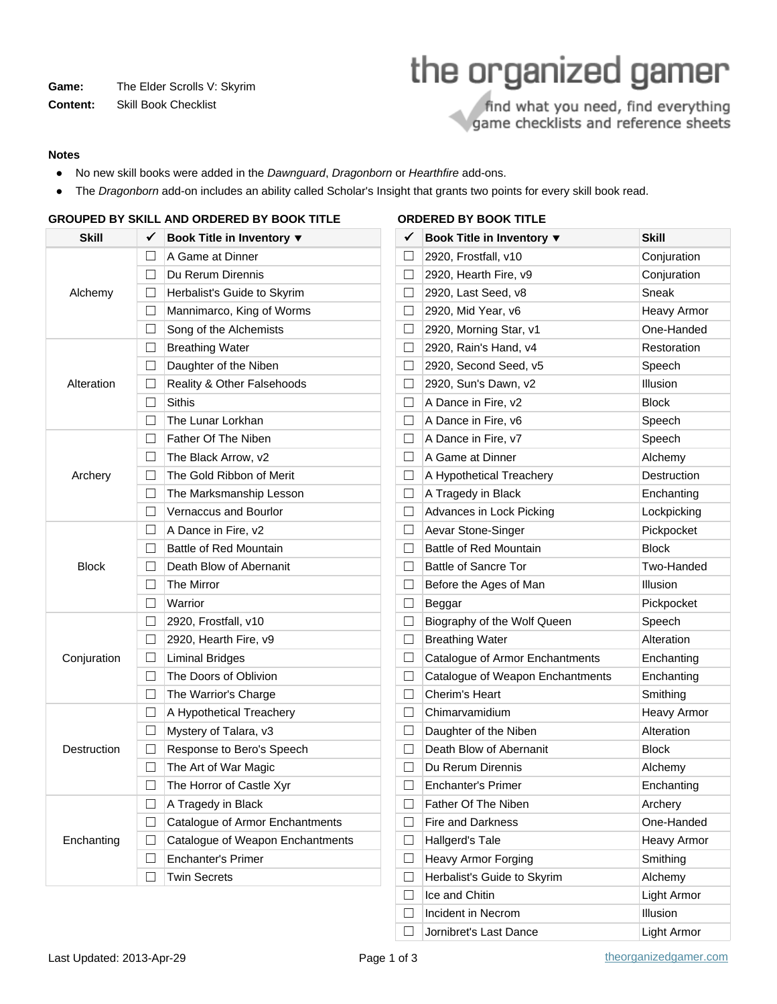Game: The Elder Scrolls V: Skyrim

**Content:** Skill Book Checklist

# the organized gamer

find what you need, find everything game checklists and reference sheets

#### **Notes**

- No new skill books were added in the Dawnguard, Dragonborn or Hearthfire add-ons.
- The Dragonborn add-on includes an ability called Scholar's Insight that grants two points for every skill book read.

| <b>Skill</b> | ✓            | Book Title in Inventory ▼        |
|--------------|--------------|----------------------------------|
|              | П.           | A Game at Dinner                 |
| Alchemy      | $\Box$       | Du Rerum Dirennis                |
|              | $\Box$       | Herbalist's Guide to Skyrim      |
|              | П            | Mannimarco, King of Worms        |
|              | П            | Song of the Alchemists           |
|              | П            | <b>Breathing Water</b>           |
|              | $\Box$       | Daughter of the Niben            |
| Alteration   | $\Box$       | Reality & Other Falsehoods       |
|              | П            | Sithis                           |
|              | П            | The Lunar Lorkhan                |
|              | П.           | Father Of The Niben              |
|              | $\Box$       | The Black Arrow, v2              |
| Archery      | П            | The Gold Ribbon of Merit         |
|              | П            | The Marksmanship Lesson          |
|              | П            | <b>Vernaccus and Bourlor</b>     |
| <b>Block</b> | П            | A Dance in Fire, v2              |
|              | $\Box$       | Battle of Red Mountain           |
|              | П.           | Death Blow of Abernanit          |
|              | П            | <b>The Mirror</b>                |
|              | П            | Warrior                          |
|              | П.           | 2920, Frostfall, v10             |
|              | $\Box$       | 2920, Hearth Fire, v9            |
| Conjuration  | $\Box$       | <b>Liminal Bridges</b>           |
|              | П            | The Doors of Oblivion            |
|              | П            | The Warrior's Charge             |
|              | П            | A Hypothetical Treachery         |
|              | $\Box$       | Mystery of Talara, v3            |
| Destruction  | $\Box$       | Response to Bero's Speech        |
|              | П            | The Art of War Magic             |
|              | П            | The Horror of Castle Xyr         |
|              | $\mathsf{L}$ | A Tragedy in Black               |
|              |              | Catalogue of Armor Enchantments  |
| Enchanting   | $\Box$       | Catalogue of Weapon Enchantments |
|              |              | <b>Enchanter's Primer</b>        |
|              |              | <b>Twin Secrets</b>              |

## **GROUPED BY SKILL AND ORDERED BY BOOK TITLE ORDERED BY BOOK TITLE**

|              | JRDERED BY BOOK IIILE            |              |  |  |  |  |  |
|--------------|----------------------------------|--------------|--|--|--|--|--|
| $\checkmark$ | Book Title in Inventory ▼        | <b>Skill</b> |  |  |  |  |  |
| $\Box$       | 2920, Frostfall, v10             | Conjuration  |  |  |  |  |  |
| $\Box$       | 2920, Hearth Fire, v9            | Conjuration  |  |  |  |  |  |
| $\Box$       | 2920, Last Seed, v8              | Sneak        |  |  |  |  |  |
| $\Box$       | 2920, Mid Year, v6               | Heavy Armor  |  |  |  |  |  |
| $\Box$       | 2920, Morning Star, v1           | One-Handed   |  |  |  |  |  |
| $\Box$       | 2920, Rain's Hand, v4            | Restoration  |  |  |  |  |  |
| $\Box$       | 2920, Second Seed, v5            | Speech       |  |  |  |  |  |
| $\Box$       | 2920, Sun's Dawn, v2             | Illusion     |  |  |  |  |  |
| $\Box$       | A Dance in Fire, v2              | <b>Block</b> |  |  |  |  |  |
| $\Box$       | A Dance in Fire, v6              | Speech       |  |  |  |  |  |
| $\Box$       | A Dance in Fire, v7              | Speech       |  |  |  |  |  |
| $\Box$       | A Game at Dinner                 | Alchemy      |  |  |  |  |  |
| $\Box$       | A Hypothetical Treachery         | Destruction  |  |  |  |  |  |
| $\Box$       | A Tragedy in Black               | Enchanting   |  |  |  |  |  |
| $\Box$       | Advances in Lock Picking         | Lockpicking  |  |  |  |  |  |
| $\Box$       | Aevar Stone-Singer               | Pickpocket   |  |  |  |  |  |
| $\Box$       | Battle of Red Mountain           | <b>Block</b> |  |  |  |  |  |
| $\Box$       | <b>Battle of Sancre Tor</b>      | Two-Handed   |  |  |  |  |  |
| $\Box$       | Before the Ages of Man           | Illusion     |  |  |  |  |  |
| $\Box$       | Beggar                           | Pickpocket   |  |  |  |  |  |
| $\Box$       | Biography of the Wolf Queen      | Speech       |  |  |  |  |  |
| $\Box$       | <b>Breathing Water</b>           | Alteration   |  |  |  |  |  |
| $\Box$       | Catalogue of Armor Enchantments  | Enchanting   |  |  |  |  |  |
| $\Box$       | Catalogue of Weapon Enchantments | Enchanting   |  |  |  |  |  |
| $\Box$       | Cherim's Heart                   | Smithing     |  |  |  |  |  |
| $\Box$       | Chimarvamidium                   | Heavy Armor  |  |  |  |  |  |
| $\Box$       | Daughter of the Niben            | Alteration   |  |  |  |  |  |
| $\Box$       | Death Blow of Abernanit          | <b>Block</b> |  |  |  |  |  |
| $\Box$       | Du Rerum Dirennis                | Alchemy      |  |  |  |  |  |
| $\Box$       | Enchanter's Primer               | Enchanting   |  |  |  |  |  |
| $\Box$       | Father Of The Niben              | Archery      |  |  |  |  |  |
| $\Box$       | Fire and Darkness                | One-Handed   |  |  |  |  |  |
| $\Box$       | Hallgerd's Tale                  | Heavy Armor  |  |  |  |  |  |
| $\Box$       | Heavy Armor Forging              | Smithing     |  |  |  |  |  |
| $\Box$       | Herbalist's Guide to Skyrim      | Alchemy      |  |  |  |  |  |
| $\Box$       | Ice and Chitin                   | Light Armor  |  |  |  |  |  |
| $\Box$       | Incident in Necrom               | Illusion     |  |  |  |  |  |

□ Jornibret's Last Dance Light Armor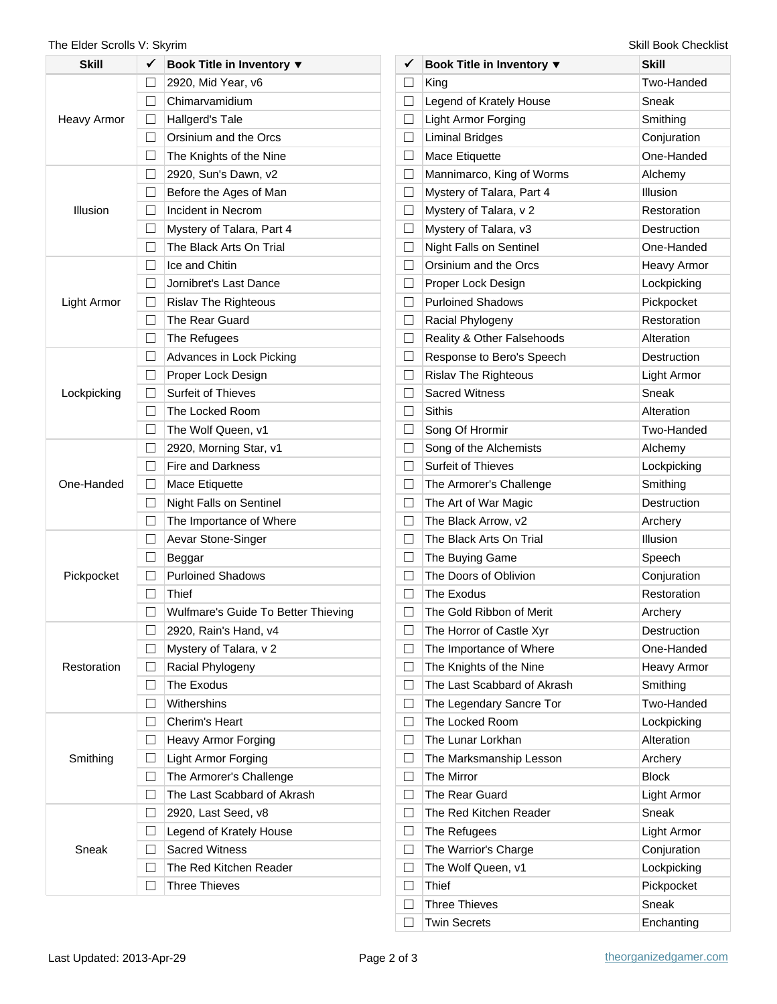### The Elder Scrolls V: Skyrim Skill Book Checklist

| Skill       | ✓       | Book Title in Inventory ▼           |
|-------------|---------|-------------------------------------|
|             | $\Box$  | 2920, Mid Year, v6                  |
|             | П       | Chimarvamidium                      |
| Heavy Armor | $\perp$ | Hallgerd's Tale                     |
|             | П       | Orsinium and the Orcs               |
|             | П       | The Knights of the Nine             |
|             | П       | 2920, Sun's Dawn, v2                |
|             | П       | Before the Ages of Man              |
| Illusion    | $\perp$ | Incident in Necrom                  |
|             | П       | Mystery of Talara, Part 4           |
|             | П       | The Black Arts On Trial             |
|             | П       | Ice and Chitin                      |
|             | П       | Jornibret's Last Dance              |
| Light Armor | $\Box$  | <b>Rislav The Righteous</b>         |
|             | П       | The Rear Guard                      |
|             | П       | The Refugees                        |
|             | П       | Advances in Lock Picking            |
|             | П       | Proper Lock Design                  |
| Lockpicking | $\perp$ | <b>Surfeit of Thieves</b>           |
|             | П       | The Locked Room                     |
|             | П       | The Wolf Queen, v1                  |
|             | П       | 2920, Morning Star, v1              |
|             | П       | <b>Fire and Darkness</b>            |
| One-Handed  | $\Box$  | Mace Etiquette                      |
|             | П       | Night Falls on Sentinel             |
|             | П       | The Importance of Where             |
|             | П       | Aevar Stone-Singer                  |
|             | П       | Beggar                              |
| Pickpocket  | $\Box$  | <b>Purloined Shadows</b>            |
|             | П       | Thief                               |
|             |         | Wulfmare's Guide To Better Thieving |
|             |         | 2920, Rain's Hand, v4               |
|             | $\perp$ | Mystery of Talara, v 2              |
| Restoration | $\Box$  | Racial Phylogeny                    |
|             | П       | The Exodus                          |
|             | $\Box$  | Withershins                         |
|             | $\Box$  | Cherim's Heart                      |
|             | $\Box$  | Heavy Armor Forging                 |
| Smithing    | $\perp$ | Light Armor Forging                 |
|             | П       | The Armorer's Challenge             |
|             | ГΙ      | The Last Scabbard of Akrash         |
|             | $\Box$  | 2920, Last Seed, v8                 |
|             | $\perp$ | Legend of Krately House             |
| Sneak       | $\Box$  | <b>Sacred Witness</b>               |
|             |         | The Red Kitchen Reader              |
|             | $\perp$ | <b>Three Thieves</b>                |
|             |         |                                     |

| $\checkmark$ | Book Title in Inventory ▼   | <b>Skill</b>       |
|--------------|-----------------------------|--------------------|
| □            | King                        | Two-Handed         |
| $\Box$       | Legend of Krately House     | Sneak              |
| $\Box$       | Light Armor Forging         | Smithing           |
| $\Box$       | <b>Liminal Bridges</b>      | Conjuration        |
| $\Box$       | Mace Etiquette              | One-Handed         |
| $\Box$       | Mannimarco, King of Worms   | Alchemy            |
| $\Box$       | Mystery of Talara, Part 4   | Illusion           |
| $\Box$       | Mystery of Talara, v 2      | Restoration        |
| $\Box$       | Mystery of Talara, v3       | Destruction        |
| $\Box$       | Night Falls on Sentinel     | One-Handed         |
| $\Box$       | Orsinium and the Orcs       | Heavy Armor        |
| $\Box$       | Proper Lock Design          | Lockpicking        |
| $\Box$       | <b>Purloined Shadows</b>    | Pickpocket         |
| $\Box$       | Racial Phylogeny            | Restoration        |
| $\Box$       | Reality & Other Falsehoods  | Alteration         |
| $\Box$       | Response to Bero's Speech   | Destruction        |
| $\Box$       | <b>Rislav The Righteous</b> | Light Armor        |
| $\Box$       | <b>Sacred Witness</b>       | Sneak              |
| $\Box$       | Sithis                      | Alteration         |
| $\Box$       | Song Of Hrormir             | Two-Handed         |
| $\Box$       | Song of the Alchemists      | Alchemy            |
| $\Box$       | Surfeit of Thieves          | Lockpicking        |
| $\Box$       | The Armorer's Challenge     | Smithing           |
| $\Box$       | The Art of War Magic        | <b>Destruction</b> |
| $\Box$       | The Black Arrow, v2         | Archery            |
| $\Box$       | The Black Arts On Trial     | Illusion           |
| $\Box$       | The Buying Game             | Speech             |
| $\Box$       | The Doors of Oblivion       | Conjuration        |
| $\Box$       | The Exodus                  | Restoration        |
| $\Box$       | The Gold Ribbon of Merit    | Archery            |
| $\Box$       | The Horror of Castle Xyr    | Destruction        |
| $\Box$       | The Importance of Where     | One-Handed         |
| $\Box$       | The Knights of the Nine     | <b>Heavy Armor</b> |
| П            | The Last Scabbard of Akrash | Smithing           |
| $\Box$       | The Legendary Sancre Tor    | Two-Handed         |
| $\Box$       | The Locked Room             | Lockpicking        |
| $\Box$       | The Lunar Lorkhan           | Alteration         |
| $\Box$       | The Marksmanship Lesson     | Archery            |
| П            | The Mirror                  | <b>Block</b>       |
| $\Box$       | The Rear Guard              | Light Armor        |
| $\Box$       | The Red Kitchen Reader      | Sneak              |
| $\Box$       | The Refugees                | Light Armor        |
| $\Box$       | The Warrior's Charge        | Conjuration        |
| П            | The Wolf Queen, v1          | Lockpicking        |
| $\Box$       | Thief                       | Pickpocket         |
| $\Box$       | <b>Three Thieves</b>        | Sneak              |
| $\Box$       | <b>Twin Secrets</b>         | Enchanting         |